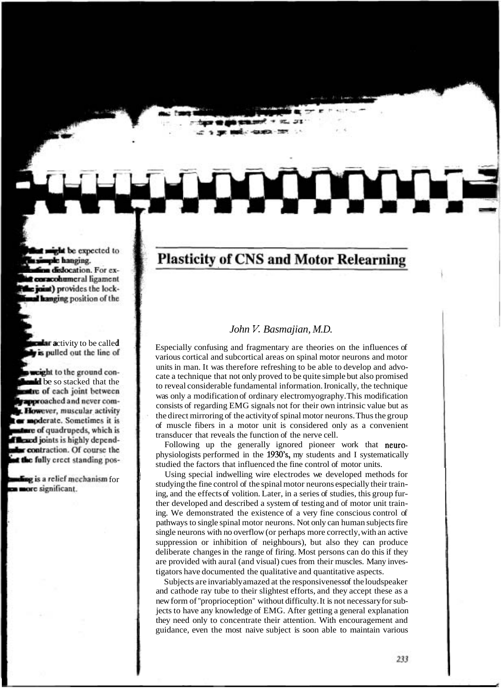## **Plasticity of CNS and Motor Relearning**

## *John V. Basmajian, M.D.*

Especially confusing and fragmentary are theories on the influences of various cortical and subcortical areas on spinal motor neurons and motor units in man. It was therefore refreshing to be able to develop and advocate a technique that not only proved to be quite simple but also promised to reveal considerable fundamental information. Ironically, the technique was only a modification of ordinary electromyography. This modification consists of regarding EMG signals not for their own intrinsic value but as the direct mirroring of the activity of spinal motor neurons. Thus the group of muscle fibers in a motor unit is considered only as a convenient transducer that reveals the function of the nerve cell.

Following up the generally ignored pioneer work that neurophysiologists performed in the 1930's, my students and I systematically studied the factors that influenced the fine control of motor units.

Using special indwelling wire electrodes we developed methods for studying the fine control of the spinal motor neurons especially their training, and the effects of volition. Later, in a series of studies, this group further developed and described a system of testing and of motor unit training. We demonstrated the existence of a very fine conscious control of pathways to single spinal motor neurons. Not only can human subjects fire single neurons with no overflow (or perhaps more correctly, with an active suppression or inhibition of neighbours), but also they can produce deliberate changes in the range of firing. Most persons can do this if they are provided with aural (and visual) cues from their muscles. Many investigators have documented the qualitative and quantitative aspects.

Subjects are invariably amazed at the responsiveness of the loudspeaker and cathode ray tube to their slightest efforts, and they accept these as a new form of "proprioception" without difficulty. It is not necessary for subjects to have any knowledge of EMG. After getting a general explanation they need only to concentrate their attention. With encouragement and guidance, even the most naive subject is soon able to maintain various